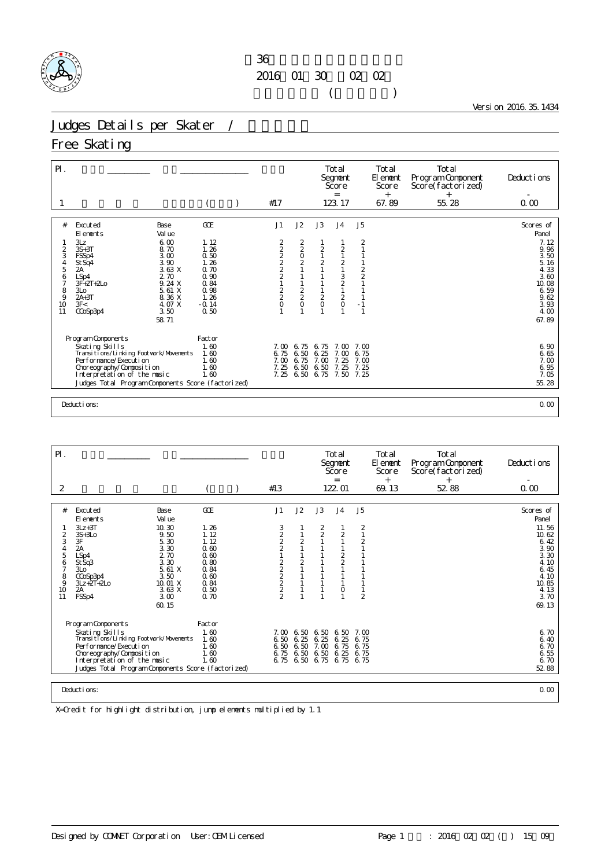

### $36$ 2016 01 30 02 02  $($

Version 2016.35.1434

#### Judges Details per Skater /

#### Free Skating

| $\mathsf{P}$ .                                                                                    |                                                                                                                                                                                                                                                                           |                                                                                                |                                                              |                                                     |                                                        | Total<br>Segnent<br>Score<br>$=$                                                                                    |                                                                                                                                  | Total<br>El enent<br>Score<br>$^{+}$ | Total<br>Program Component<br>Score(factorized)<br>$^{+}$ | Deductions                                                                                                           |
|---------------------------------------------------------------------------------------------------|---------------------------------------------------------------------------------------------------------------------------------------------------------------------------------------------------------------------------------------------------------------------------|------------------------------------------------------------------------------------------------|--------------------------------------------------------------|-----------------------------------------------------|--------------------------------------------------------|---------------------------------------------------------------------------------------------------------------------|----------------------------------------------------------------------------------------------------------------------------------|--------------------------------------|-----------------------------------------------------------|----------------------------------------------------------------------------------------------------------------------|
|                                                                                                   |                                                                                                                                                                                                                                                                           |                                                                                                | #17                                                          |                                                     |                                                        | 123.17                                                                                                              |                                                                                                                                  | 67.89                                | 55.28                                                     | 0.00                                                                                                                 |
| #<br>$\overline{c}$<br>3<br>$\begin{array}{c} 4 \\ 5 \end{array}$<br>6<br>7<br>8<br>9<br>10<br>11 | Excuted<br>Base<br>Val ue<br>El ements<br>6.00<br>3Lz<br>$3S+3T$<br>8.70<br>3.00<br>FSSp4<br>3.90<br>St Sq4<br>3.63X<br>2A<br>2.70<br>LSp4<br>9.24 X<br>$3F + 2T + 2L$ o<br>5.61 X<br>3 <sub>LO</sub><br>$2A+3T$<br>8.36 X<br>4. O7 X<br>3F<<br>3.50<br>CCoSp3p4<br>58.71 | GOE<br>1.12<br>1.26<br>0.50<br>1.26<br>0.70<br>0.90<br>0.84<br>0.98<br>1.26<br>$-0.14$<br>0.50 | J1<br>222221<br>$\begin{array}{c}\n2 \\ 2 \\ 0\n\end{array}$ | J2<br>$\frac{2}{0}$<br>2<br>1<br>1<br>$\frac{2}{2}$ | J3<br>$\frac{2}{1}$<br>$\overline{c}$<br>$\frac{2}{0}$ | J <sub>4</sub><br>$\frac{2}{1}$<br>$\overline{c}$<br>$\mathbf{1}$<br>$\frac{3}{2}$<br>$\frac{2}{0}$<br>$\mathbf{1}$ | J <sub>5</sub><br>$\overline{2}$<br>$\mathbf{1}$<br>1<br>$\frac{2}{2}$<br>$\mathbf{1}$<br>$\overline{1}$<br>$-1$<br>$\mathbf{1}$ |                                      |                                                           | Scores of<br>Panel<br>7.12<br>9.96<br>3.50<br>5.16<br>4.33<br>3.60<br>10.08<br>6.59<br>9.62<br>3.93<br>4.00<br>67.89 |
|                                                                                                   | Program Components<br>Skating Skills<br>Transitions/Linking Footwork/Movements<br>Per for mance/Execution<br>Choreography/Composition<br>Interpretation of the music<br>Judges Total Program Components Score (factorized)                                                | Factor<br>1.60<br>1.60<br>1.60<br>1.60<br>1.60                                                 | 7.00<br>6.75<br>7.00<br>7.25<br>7.25                         | 6.75<br>6.50<br>6.75<br>6.50<br>6.50                | 6.75<br>6.25<br>7.00<br>6.50<br>6.75                   | 7. M<br>7.00<br>7.25<br>7.25<br>7.50                                                                                | 7.00<br>6.75<br>7.00<br>7.25<br>7.25                                                                                             |                                      |                                                           | 6.90<br>6.65<br>7.00<br>6.95<br>7.05<br>55.28                                                                        |
|                                                                                                   | Deductions:                                                                                                                                                                                                                                                               |                                                                                                |                                                              |                                                     |                                                        |                                                                                                                     |                                                                                                                                  |                                      |                                                           | 0.00                                                                                                                 |

Pl. Total Total Total Total Total Total Total Segment Element Program Component Deductions<br>Score Score Score (factorized) Score(factorized) = + + -  $2$  2 contract to the contract of the three contracts that the three terms of the three terms of the terms of the terms of the terms of the terms of the terms of the terms of the terms of terms of terms of terms of terms # Excuted Base GOE J1 J2 J3 J4 J5 Scores of Elements Value Panel 1 3Lz+3T 10.30 1.26 3 1 2 1 2 1 2 1 3Lz+3T 11.56 2 3S+3Lo 9.50 1.12 2 1 2 2 1 10.62 3 3F 5.30 1.12 2 2 1 1 2 6.42 4 2A 3.30 0.60 2 1 1 1 1 3.90 5 LSp4 2.70 0.60 1 1 1 2 1 3.30 6 StSq3 3.30 0.80 2 2 1 2 1 4.10 7 3Lo 5.61 X 0.84 2 1 1 1 1 2 5.61 X 0.84 2 1 1 1 2 5.645 8 CCoSp3p4 3.50 0.60 2 1 1 1 1 4.10 9 3Lz+2T+2Lo 10.01 X 0.84 2 1 1 1 1 10.85 10 2A 3.63 X 0.50 2 1 1 0 1 11 FSSp4 3.00 0.70 2 1 1 1 2 3.70 60.15 69.13 Program Components Factor<br>Skating Skills (1984)<br>Transitions/Linking Footwork/Movements 1.60<br>Performance/Execution 1.60 Skating Skills 1.60 7.00 6.50 6.50 6.50 7.00 6.70 Transitions/Linking Footwork/Movements 1.60 6.50 6.25 6.25 6.25 6.75 6.40 Performance/Execution 1.60 6.50 6.50 7.00 6.75 6.75 6.70 Choreography/Composition 1.60 6.75 6.50 6.50 6.25 6.75 6.55 Interpretation of the music 1.60 6.75 6.50 6.75 6.75 6.75 6.70 Skating Skills (Skills)<br>
Skating Skills (Skills)<br>
Transitions/Linking Footwork/Movements 1.60 6.50 6.25 6.25 6.25 6.25 6.75 6.40<br>
Performance/Execution 1.60 6.50 6.50 7.00 6.75 6.75 6.75 6.76<br>
Choreography/Composition 1.60 Deductions: 0.00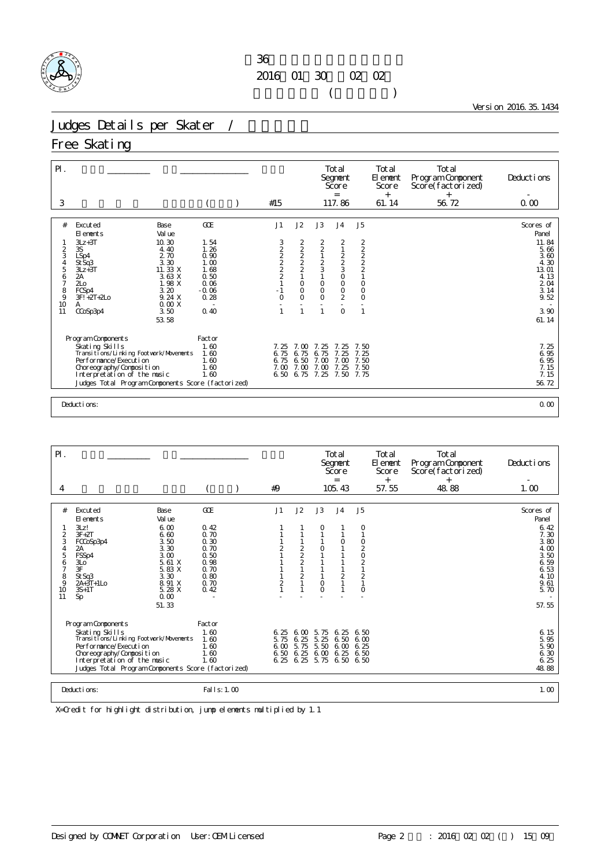

Version 2016.35.1434

### Judges Details per Skater /

### Free Skating

| $P$ .                                                                                       |                                                                                                                                                                                                                                                                            |                                                                                        |                                      |                                                                                           |                                                         | Total<br>Segnent<br>Score<br>$=$                                                                         |                                                                        | Total<br>El ement<br><b>Score</b><br>$^{+}$ | Total<br>Program Component<br>Score(factorized)<br>$^{+}$ | Deductions                                                                                                    |
|---------------------------------------------------------------------------------------------|----------------------------------------------------------------------------------------------------------------------------------------------------------------------------------------------------------------------------------------------------------------------------|----------------------------------------------------------------------------------------|--------------------------------------|-------------------------------------------------------------------------------------------|---------------------------------------------------------|----------------------------------------------------------------------------------------------------------|------------------------------------------------------------------------|---------------------------------------------|-----------------------------------------------------------|---------------------------------------------------------------------------------------------------------------|
| 3                                                                                           |                                                                                                                                                                                                                                                                            |                                                                                        | #15                                  |                                                                                           |                                                         | 117.86                                                                                                   |                                                                        | 61.14                                       | 56.72                                                     | 0.00                                                                                                          |
| #<br>$\frac{2}{3}$<br>$\begin{array}{c} 4 \\ 5 \end{array}$<br>6<br>7<br>8<br>9<br>10<br>11 | Excuted<br>Base<br>Val ue<br>El ements<br>$3Lz + 3T$<br>10.30<br>3S<br>4.40<br>2.70<br>LSp4<br>3.30<br>St Sq3<br>11. 33 X<br>$3Lz + 3T$<br>3.63 X<br>2A<br>1.98 X<br>2 <sub>0</sub><br>3.20<br>FCSp4<br>9.24 X<br>$3F! +2T+2LO$<br>0.00X<br>A<br>3.50<br>CCoSp3p4<br>53.58 | GOE<br>1.54<br>1.26<br>0.90<br>1.00<br>1.68<br>0.50<br>0.06<br>$-0.06$<br>0.28<br>0.40 | J1<br>32222<br>$-1$<br>$\Omega$      | J2<br>$2222$<br>$222$<br>$\mathbf{1}$<br>$\circ$<br>$\circ$<br>$\Omega$<br>$\overline{1}$ | J3<br>22123<br>$\circ$<br>O<br>$\Omega$<br>$\mathbf{1}$ | J <sub>4</sub><br>$\frac{2}{1}$<br>$\frac{2}{3}$<br>$\circ$<br>$\circ$<br>O<br>$\overline{2}$<br>$\circ$ | J5<br>$2222$<br>$221$<br>$\circ$<br>$\circ$<br>$\circ$<br>$\mathbf{1}$ |                                             |                                                           | Scores of<br>Panel<br>11.84<br>5.66<br>3.60<br>4.30<br>13.01<br>4.13<br>2 04<br>3.14<br>9.52<br>3.90<br>61.14 |
|                                                                                             | Program Components<br>Skating Skills<br>Transitions/Linking Footwork/Movements<br>Performance/Execution<br>Choreography/Composition<br>Interpretation of the music<br>Judges Total Program Components Score (factorized)                                                   | Factor<br>1.60<br>1.60<br>1.60<br>1.60<br>1.60                                         | 7.25<br>6.75<br>6.75<br>7.00<br>6.50 | 7.00<br>6.75<br>6.50<br>7.00<br>6.75                                                      | 7.25<br>6.75<br>7.00<br>7.00<br>7.25                    | -25<br>7.<br>7 <sub>1</sub><br>25<br>7.00<br>7.25<br>7.50                                                | 7.50<br>7.25<br>7.50<br>7.50<br>7.75                                   |                                             |                                                           | 7.25<br>6.95<br>6.95<br>7.15<br>7.15<br>56.72                                                                 |
|                                                                                             | Deductions:                                                                                                                                                                                                                                                                |                                                                                        |                                      |                                                                                           |                                                         |                                                                                                          |                                                                        |                                             |                                                           | 0.00                                                                                                          |

| $\mathsf{P}$ .      |                                                              |               |                |                |                                       | Total<br>Segnent<br>Score<br>$=$ |                     | Total<br>El ement<br>Score<br>$^{+}$ | Total<br>Program Component<br>Score (factori zed)<br>$^{+}$ | Deductions                 |
|---------------------|--------------------------------------------------------------|---------------|----------------|----------------|---------------------------------------|----------------------------------|---------------------|--------------------------------------|-------------------------------------------------------------|----------------------------|
| 4                   |                                                              |               | #9             |                |                                       | 105.43                           |                     | 57.55                                | 48.88                                                       | 1.00                       |
|                     |                                                              |               |                |                |                                       |                                  |                     |                                      |                                                             |                            |
| #                   | Base<br>Excuted<br>Val ue<br>El ements<br>3Lz!<br>6.00       | GCE<br>0.42   | J <sub>1</sub> | J2             | J3<br>0                               | J <sub>4</sub>                   | J <sub>5</sub><br>0 |                                      |                                                             | Scores of<br>Panel<br>6.42 |
| $\frac{2}{3}$       | 6.60<br>$3F+2T$<br>3.50<br>FCCoSp3p4                         | 0.70<br>0.30  |                |                |                                       | 0                                | $\mathbf{1}$        |                                      |                                                             | 7.30<br>3.80               |
| $\overline{4}$<br>5 | 3.30<br>2A<br>FSSp4<br>3.00                                  | 0.70<br>0.50  | $\overline{2}$ | $\frac{2}{2}$  | O                                     |                                  | 02020               |                                      |                                                             | 4.00<br>3.50               |
| 6<br>7              | 5.61 X<br>3L <sub>O</sub><br>3F<br>5.83 X                    | 0.98<br>0.70  |                |                |                                       |                                  | $\mathbf{1}$        |                                      |                                                             | 6.59<br>6.53               |
| 8                   | St Sq3<br>3.30                                               | 0.80          |                | $\overline{a}$ |                                       | $\overline{c}$                   | $\frac{2}{1}$       |                                      |                                                             | 4.10                       |
| 9<br>10             | 8.91 X<br>$2A+3T+1L0$<br>5.28 X<br>$3S+1T$<br>0.00           | 0.70<br>0.42  | $\overline{c}$ |                | $\circ$<br>$\circ$                    |                                  | 0                   |                                      |                                                             | 9.61<br>5.70               |
| 11                  | Sp<br>51.33                                                  |               |                |                |                                       |                                  |                     |                                      |                                                             | 57.55                      |
|                     | Program Components                                           | Factor        |                |                |                                       |                                  |                     |                                      |                                                             |                            |
|                     | Skating Skills<br>Transi ti ons/Li nki ng Footvork/Movements | 1.60<br>1.60  | 6.25<br>5.75   | 6.00<br>6.25   | 5.75<br>5.25                          | 6.25<br>6.50                     | 6.50<br>6.00        |                                      |                                                             | 6.15<br>5.95               |
|                     | Performance/Execution                                        | 1.60          | 6.00           | 5.75           | 5.50                                  | 6.00                             | 6.25                |                                      |                                                             | 5.90                       |
|                     | Choreography/Composition<br>Interpretation of the music      | 1.60<br>1.60  |                | 6.50 6.25      | 6.00 6.25<br>6.25 6.25 5.75 6.50 6.50 |                                  | 6.50                |                                      |                                                             | 6.30<br>6.25               |
|                     | Judges Total Program Components Score (factorized)           |               |                |                |                                       |                                  |                     |                                      |                                                             | 48.88                      |
|                     | Deductions:                                                  | Fal I s: 1.00 |                |                |                                       |                                  |                     |                                      |                                                             | 1.00                       |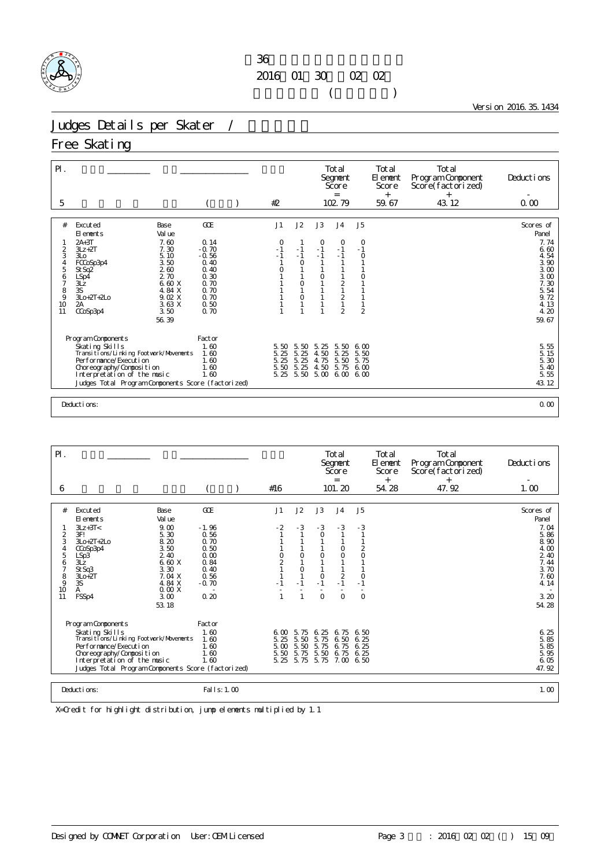

Version 2016.35.1434

# Judges Details per Skater /

### Free Skating

| $P$ .                                                                                |                                                                                                                                                                                                                                                                          |                                                                                                   |                                        |                                                     |                                      | Total<br>Segnent<br>Score<br>$=$                                                                |                                                                     | Total<br>El ement<br>Score<br>$^{+}$ | Total<br>Program Component<br>Score(factorized) | Deductions                                                                                                                                         |
|--------------------------------------------------------------------------------------|--------------------------------------------------------------------------------------------------------------------------------------------------------------------------------------------------------------------------------------------------------------------------|---------------------------------------------------------------------------------------------------|----------------------------------------|-----------------------------------------------------|--------------------------------------|-------------------------------------------------------------------------------------------------|---------------------------------------------------------------------|--------------------------------------|-------------------------------------------------|----------------------------------------------------------------------------------------------------------------------------------------------------|
| 5                                                                                    |                                                                                                                                                                                                                                                                          |                                                                                                   | #2                                     |                                                     |                                      | 102 79                                                                                          |                                                                     | 59.67                                | 43.12                                           | 0.00                                                                                                                                               |
| #<br>2<br>3<br>4<br>5<br>6<br>7<br>$\begin{array}{c} 8 \\ 9 \end{array}$<br>10<br>11 | Excuted<br>Base<br>Val ue<br>El ements<br>$2A+3T$<br>7.60<br>7.30<br>$3Lz + 2T$<br>3L <sub>O</sub><br>5.10<br>3.50<br>FCCoSp3p4<br>260<br>St Sq2<br>2.70<br>LSp4<br>6.60 X<br>3Lz<br>3S<br>4.84 X<br>$3L0+2T+2L0$<br>9.02 X<br>3.63 X<br>2A<br>3.50<br>CCoSp3p4<br>56.39 | GOE<br>0.14<br>$-0.70$<br>$-0.56$<br>0.40<br>0.40<br>0.30<br>0.70<br>0.70<br>0.70<br>0.50<br>0.70 | J1<br>$\circ$<br>$-1$<br>$\sim 1$<br>O | J2<br>$-1$<br>$-1$<br>$\circ$<br>$\circ$<br>$\circ$ | J3<br>$\Omega$<br>$-1$<br>$-1$<br>O  | J <sub>4</sub><br>$\circ$<br>$-1$<br>$-1$<br>$\overline{2}$<br>$\overline{c}$<br>$\overline{2}$ | J <sub>5</sub><br>$\circ$<br>$-1$<br>$\circ$<br>0<br>$\overline{2}$ |                                      |                                                 | Scores of<br>Panel<br>7.74<br>6.60<br>4.54<br>$\begin{array}{c} 3.90 \\ 3.00 \end{array}$<br>3.00<br>7.30<br>5.54<br>9.72<br>4.13<br>4.20<br>59.67 |
|                                                                                      | Program Components<br>Skating Skills<br>Transitions/Linking Footwork/Movements<br>Performance/Execution<br>Choreography/Composition<br>Interpretation of the music<br>Judges Total Program Components Score (factorized)                                                 | Factor<br>1.60<br>1.60<br>1.60<br>1.60<br>1.60                                                    | 5.50<br>5.25<br>5.25<br>5.50<br>5.25   | 5.50<br>5.25<br>5.25<br>5.25<br>5.50                | 5.25<br>4.50<br>4.75<br>4.50<br>5.00 | 5.50<br>5.25<br>5.50<br>5.75<br>6.00 6.00                                                       | 600<br>5.50<br>5.75<br>6.00                                         |                                      |                                                 | 5.55<br>5.15<br>$\frac{5}{5}$ 30<br>5.40<br>5.55<br>43.12                                                                                          |
|                                                                                      | Deductions:                                                                                                                                                                                                                                                              |                                                                                                   |                                        |                                                     |                                      |                                                                                                 |                                                                     |                                      |                                                 | 0.00                                                                                                                                               |

| $\mathsf{P}$ .                                                                               |                                                                                                                                                                                                                                                                        |                                                                                           |                                                                                  |                                      |                                                    | Total<br>Segnent<br>Score                                                                   |                                                                                                | Total<br>El ement<br>Score | Total<br>Program Component<br>Score (factorized) | Deductions                                                                                                                                    |
|----------------------------------------------------------------------------------------------|------------------------------------------------------------------------------------------------------------------------------------------------------------------------------------------------------------------------------------------------------------------------|-------------------------------------------------------------------------------------------|----------------------------------------------------------------------------------|--------------------------------------|----------------------------------------------------|---------------------------------------------------------------------------------------------|------------------------------------------------------------------------------------------------|----------------------------|--------------------------------------------------|-----------------------------------------------------------------------------------------------------------------------------------------------|
| 6                                                                                            |                                                                                                                                                                                                                                                                        |                                                                                           | #16                                                                              |                                      |                                                    | $=$<br>101.20                                                                               |                                                                                                | $^{+}$<br>54.28            | 47.92                                            | 1.00                                                                                                                                          |
|                                                                                              |                                                                                                                                                                                                                                                                        |                                                                                           |                                                                                  |                                      |                                                    |                                                                                             |                                                                                                |                            |                                                  |                                                                                                                                               |
| #<br>$\overline{c}$<br>3<br>$\overline{4}$<br>5<br>6<br>$\overline{7}$<br>8<br>9<br>10<br>11 | Excuted<br>Base<br>Val ue<br>El ements<br>9.00<br>$3Lz + 3T <$<br>3F!<br>5.30<br>8.20<br>$3L0+2T+2L0$<br>3.50<br>CCoSp3p4<br>2.40<br>LSp3<br>6.60 X<br>$3\overline{z}$<br>3.30<br>St Sq3<br>7.04 X<br>$3L0+2T$<br>3S<br>4.84 X<br>0.00X<br>A<br>3.00<br>FSSp4<br>53.18 | GOE<br>$-1.96$<br>0.56<br>0.70<br>0.50<br>0.00<br>0.84<br>0.40<br>0.56<br>$-0.70$<br>0.20 | J <sub>1</sub><br>$-2$<br>$\begin{smallmatrix}0\\2\end{smallmatrix}$<br>$\Box$ 1 | J2<br>$-3$<br>0<br>0<br>$-1$<br>1    | J3<br>$-3$<br>$\circ$<br>O<br>O<br>$-1$<br>$\circ$ | J <sub>4</sub><br>$-3$<br>$\mathbf{1}$<br>O<br>$\circ$<br>$\overline{2}$<br>$-1$<br>$\circ$ | J <sub>5</sub><br>$-3$<br>1<br>1<br>$\frac{2}{0}$<br>$\mathbf{1}$<br>1<br>0<br>$-1$<br>$\circ$ |                            |                                                  | Scores of<br>Panel<br>7.04<br>5.86<br>$\begin{matrix} 8 & 90 \\ 4 & 00 \end{matrix}$<br>2 40<br>7.44<br>3.70<br>7.60<br>4.14<br>3.20<br>54.28 |
|                                                                                              | Program Components<br>Skating Skills<br>Transitions/Linking Footvork/Movements<br>Performance/Execution<br>Choreography/Composition<br>Interpretation of the music<br>Judges Total Program Components Score (factorized)                                               | Factor<br>1.60<br>1.60<br>1.60<br>1.60<br>1.60                                            | 6,00<br>5.25<br>5.00<br>5.50<br>5.25                                             | 5.75<br>5.50<br>5.50<br>5.75<br>5.75 | 6.25<br>5.75<br>5.75<br>5.50<br>5.75               | 6.75<br>6.50<br>6.75<br>6.75<br>7.00 6.50                                                   | 6.50<br>6.25<br>6.25<br>6.25                                                                   |                            |                                                  | 6.25<br>5.85<br>5.85<br>5.95<br>6.05<br>47.92                                                                                                 |
|                                                                                              | Deductions:                                                                                                                                                                                                                                                            | Fal I s: 1, 00                                                                            |                                                                                  |                                      |                                                    |                                                                                             |                                                                                                |                            |                                                  | 1.00                                                                                                                                          |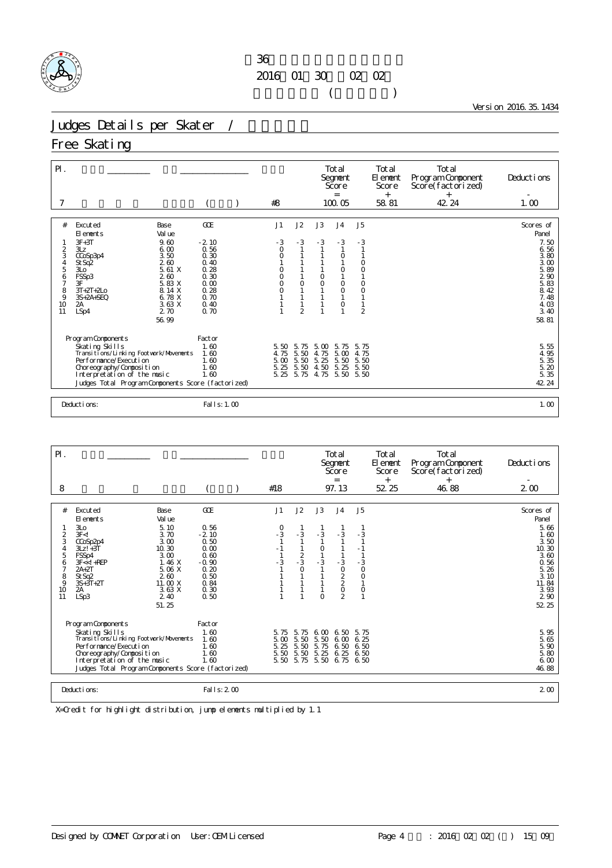

Version 2016.35.1434

# Judges Details per Skater /

#### Free Skating

| $\mathsf{P}$ .                                                                               |                                                                                                                                                                                                                                                                       |                                                                                                | #8                                                                         |                                         |                                      | Total<br>Segnent<br>Score<br>$=$<br>100.05                                    |                                                                                                                 | Total<br>El ement<br>Score<br>$^{+}$<br>58.81 | Total<br>Program Component<br>Score(factorized)<br>$^{+}$<br>42.24 | Deductions<br>1.00                                                                                          |
|----------------------------------------------------------------------------------------------|-----------------------------------------------------------------------------------------------------------------------------------------------------------------------------------------------------------------------------------------------------------------------|------------------------------------------------------------------------------------------------|----------------------------------------------------------------------------|-----------------------------------------|--------------------------------------|-------------------------------------------------------------------------------|-----------------------------------------------------------------------------------------------------------------|-----------------------------------------------|--------------------------------------------------------------------|-------------------------------------------------------------------------------------------------------------|
|                                                                                              |                                                                                                                                                                                                                                                                       |                                                                                                |                                                                            |                                         |                                      |                                                                               |                                                                                                                 |                                               |                                                                    |                                                                                                             |
| #<br>$\overline{2}$<br>3<br>$\overline{4}$<br>5<br>6<br>$\overline{7}$<br>8<br>9<br>10<br>11 | Excuted<br>Base<br>Val ue<br>El ements<br>$3F+3T$<br>9.60<br>6.00<br>3Lz<br>3.50<br>CCoSp3p4<br>260<br>St Sq2<br>5.61X<br>3L <sub>O</sub><br>FSSp3<br>2.60<br>3F<br>5.83 X<br>8.14 X<br>$3T+2T+2L0$<br>6.78 X<br>$3S+2A+SEQ$<br>3.63 X<br>2A<br>2.70<br>LSp4<br>56.99 | GOE<br>$-2.10$<br>0.56<br>0.30<br>0.40<br>0.28<br>0.30<br>0.00<br>0.28<br>0.70<br>0.40<br>0.70 | J1<br>$-3$<br>$\circ$<br>$\mathbf 0$<br>0<br>$\circ$<br>$\circ$<br>$\circ$ | J2<br>$-3$<br>$\circ$<br>$\overline{2}$ | J3<br>$-3$<br>$\circ$<br>O           | J <sub>4</sub><br>$-3$<br>$\circ$<br>$\circ$<br>$\circ$<br>$\circ$<br>$\circ$ | J <sub>5</sub><br>$-3$<br>1<br>0<br>$\overline{O}$<br>$\circ$<br>$\circ$<br>$\mathbf{1}$<br>1<br>$\overline{2}$ |                                               |                                                                    | Scores of<br>Panel<br>7.50<br>6.56<br>3.80<br>3.00<br>5.89<br>5.83<br>8.42<br>7.48<br>4.03<br>3.40<br>58.81 |
|                                                                                              | Program Components                                                                                                                                                                                                                                                    | Factor                                                                                         |                                                                            |                                         |                                      |                                                                               |                                                                                                                 |                                               |                                                                    |                                                                                                             |
|                                                                                              | Skating Skills<br>Transi ti ons/Li nki ng Footvork/Movements<br>Performance/Execution<br>Choreography/Composition<br>Interpretation of the music<br>Judges Total Program Components Score (factorized)                                                                | 1.60<br>1.60<br>1.60<br>1.60<br>1.60                                                           | 5.50<br>4.75<br>5.00<br>5.25<br>5.25                                       | 5.75<br>5.50<br>5.50<br>5.50<br>5.75    | 5.00<br>4.75<br>5.25<br>4.50<br>4.75 | 5.75<br>5.00<br>5.50<br>5.25<br>5.50                                          | 5.75<br>4.75<br>5.50<br>5.50<br>5.50                                                                            |                                               |                                                                    | 5.55<br>$4, 95$<br>$5, 35$<br>$5, 20$<br>$5, 35$<br>42 24                                                   |
|                                                                                              | Deductions:                                                                                                                                                                                                                                                           | Fal I s: 1.00                                                                                  |                                                                            |                                         |                                      |                                                                               |                                                                                                                 |                                               |                                                                    | 1.00                                                                                                        |

| $\mathsf{P} \mathsf{I}$ .<br>8                                                                                                                                                                                                                                                                                                                      |                                                                                                   | #18                                                                                                    | Total<br>Segnent<br>Score<br>$=$<br>97.13                                              | Total<br>El ement<br>Score<br>$+$<br>52 25                                                | Total<br>Program Component<br>Score (factorized)<br>$\ddot{}$<br>46.88 | Deductions<br>2 <sub>0</sub>                                                                                                      |
|-----------------------------------------------------------------------------------------------------------------------------------------------------------------------------------------------------------------------------------------------------------------------------------------------------------------------------------------------------|---------------------------------------------------------------------------------------------------|--------------------------------------------------------------------------------------------------------|----------------------------------------------------------------------------------------|-------------------------------------------------------------------------------------------|------------------------------------------------------------------------|-----------------------------------------------------------------------------------------------------------------------------------|
| #<br>Excuted<br>Base<br>El ements<br>Val ue<br>3L <sub>O</sub><br>5.10<br>$\overline{c}$<br>3F < I<br>3.70<br>3<br>3.00<br>CCoSp2p4<br>10.30<br>$3Lz! + 3T$<br>4<br>5<br>FSSp4<br>3.00<br>1.46X<br>6<br>$3F < 1 + REP$<br>5.06 X<br>$2A+2T$<br>8<br>St Sq2<br>260<br>9<br>$3S+3T+2T$<br>11.00 X<br>3.63X<br>10<br>2A<br>LSp3<br>11<br>2.40<br>51.25 | GOE<br>0.56<br>$-2.10$<br>0.50<br>0.00<br>0.60<br>$-0.90$<br>0.20<br>0.50<br>0.84<br>0.30<br>0.50 | J2<br>J1<br>$\begin{array}{c} 0 \\ -3 \end{array}$<br>$-3$<br>$-1$<br>$\frac{2}{3}$<br>$-3$<br>$\circ$ | J3<br>J <sub>4</sub><br>$-3$<br>- 3<br>$\circ$<br>$-3$<br>$-3$<br>02202<br>$\mathbf 0$ | J5<br>$-3$<br>$-1$<br>$\frac{3}{0}$<br>$\circ$<br>$\mathbf{1}$<br>$\circ$<br>$\mathbf{1}$ |                                                                        | Scores of<br>Panel<br>5.66<br>1.60<br>3.50<br>10.30<br>3.60<br>0.56<br>5.26<br>3.10<br>11.84<br>3.93<br>$2\overline{90}$<br>52 25 |
| Program Components<br>Skating Skills<br>Transi ti ons/Li nki ng Footvork/Movements<br>Per for mance/Execution<br>Choreography/Composition<br>Interpretation of the music<br>Judges Total Program Components Score (factorized)                                                                                                                      | Factor<br>1.60<br>1.60<br>1.60<br>1.60<br>1.60                                                    | 5.75<br>5.75<br>5.00<br>5.50<br>5.50<br>5.25<br>5.50<br>5.50                                           | 6.50<br>6.00<br>5.50<br>6.00<br>5.75<br>6.50<br>5.25<br>6.25<br>5.50 5.75 5.50 6.75    | 5.75<br>6.25<br>6.50<br>6.50<br>6.50                                                      |                                                                        | 5.95<br>5.65<br>$\frac{5}{5}$ 80<br>6.00<br>46.88                                                                                 |
| Deductions:                                                                                                                                                                                                                                                                                                                                         | Fal I s: 2 00                                                                                     |                                                                                                        |                                                                                        |                                                                                           |                                                                        | 2 <sub>0</sub>                                                                                                                    |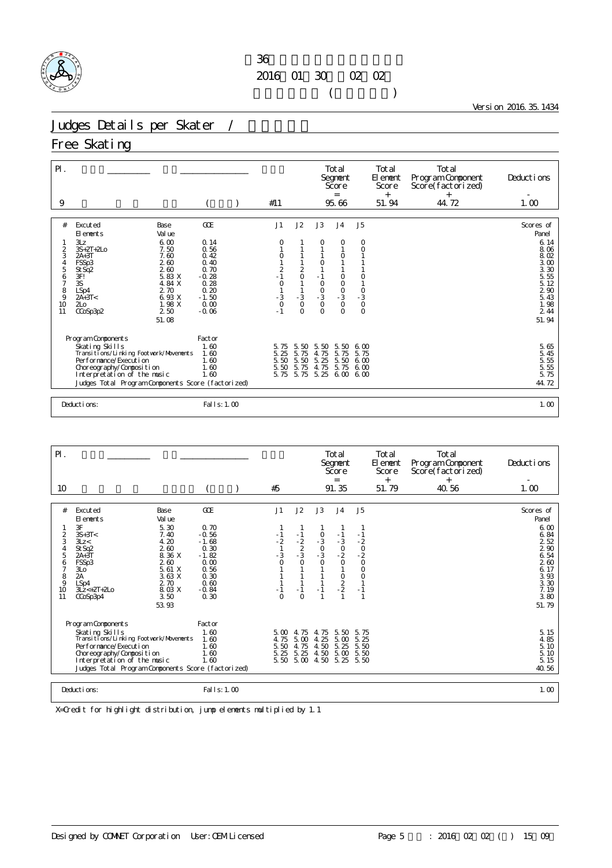

Version 2016.35.1434

## Judges Details per Skater /

### Free Skating

| $\mathsf{P}$ .                                        |                                                                                                                                                                                                                                                                               |                                                                                                      |                                                                     |                                                    |                                                                                         | Total<br>Segnent<br>Score<br>$=$                                                                                  |                                                                                                          | Total<br>El ement<br>Score<br>$^{+}$ | Total<br>Program Component<br>Score(factorized)<br>$^{+}$ | Deductions                                                                                                                                       |
|-------------------------------------------------------|-------------------------------------------------------------------------------------------------------------------------------------------------------------------------------------------------------------------------------------------------------------------------------|------------------------------------------------------------------------------------------------------|---------------------------------------------------------------------|----------------------------------------------------|-----------------------------------------------------------------------------------------|-------------------------------------------------------------------------------------------------------------------|----------------------------------------------------------------------------------------------------------|--------------------------------------|-----------------------------------------------------------|--------------------------------------------------------------------------------------------------------------------------------------------------|
| 9                                                     |                                                                                                                                                                                                                                                                               |                                                                                                      | #11                                                                 |                                                    |                                                                                         | 95.66                                                                                                             |                                                                                                          | 51.94                                | 44.72                                                     | 1.00                                                                                                                                             |
| #<br>2<br>3<br>4<br>5<br>6<br>7<br>8<br>9<br>10<br>11 | Excuted<br>Base<br>Val ue<br>El ements<br>3Lz<br>6.00<br>$3S+2T+2L0$<br>7.50<br>7.60<br>$2A+3T$<br>FSSp3<br>260<br>260<br>St Sq <sub>2</sub><br>5.83 X<br>3F!<br>3S<br>4.84 X<br>2.70<br>LSp4<br>6.93 X<br>$2A+3T<$<br>1.98 X<br>2 <sub>LO</sub><br>2.50<br>CCoSp3p2<br>51.08 | GOE<br>0.14<br>0.56<br>0.42<br>0.40<br>0.70<br>$-0.28$<br>0.28<br>0.20<br>$-1.50$<br>0.00<br>$-0.06$ | J1<br>0<br>0<br>$\frac{2}{1}$<br>$\circ$<br>$-3$<br>$\circ$<br>$-1$ | J2<br>$\frac{2}{0}$<br>$-3$<br>$\circ$<br>$\Omega$ | J3<br>O<br>$-1$<br>$\circ$<br>$\begin{matrix}0\\ -3\end{matrix}$<br>$\circ$<br>$\Omega$ | J <sub>4</sub><br>0<br>$\circ$<br>$\circ$<br>$\circ$<br>$\begin{matrix}0\\ -3\end{matrix}$<br>$\circ$<br>$\Omega$ | J <sub>5</sub><br>0<br>0<br>$\circ$<br>$\begin{smallmatrix}0\\-3\end{smallmatrix}$<br>$\circ$<br>$\circ$ |                                      |                                                           | Scores of<br>Panel<br>6.14<br>8.06<br>8.02<br>$\frac{3}{3}$ $\frac{00}{30}$<br>$\frac{5}{5}$ 55<br>5.12<br>290<br>5.43<br>1.98<br>2 4 4<br>51.94 |
|                                                       | Program Components<br>Skating Skills<br>Transi ti ons/Li nki ng Footvork/Movements<br>Per for mance/Execution<br>Choreography/Composition<br>Interpretation of the music<br>Judges Total Program Components Score (factorized)                                                | Factor<br>1.60<br>1.60<br>1.60<br>1.60<br>1.60                                                       | 5.75<br>5.25<br>5.50<br>5.50<br>5.75                                | 5.50<br>5.75<br>5.50<br>5.75<br>5.75               | 5.50<br>4.75<br>5.25<br>4.75<br>5.25                                                    | 5.50<br>5.75<br>5.50<br>5.75<br>6.00                                                                              | 6.00<br>5.75<br>600<br>6,00<br>600                                                                       |                                      |                                                           | 5.65<br>$\frac{5}{5}$ . 45<br>5. 55<br>$\frac{5}{5}$<br>55<br>75<br>44.72                                                                        |
|                                                       | Deductions:                                                                                                                                                                                                                                                                   | Fal I s: 1.00                                                                                        |                                                                     |                                                    |                                                                                         |                                                                                                                   |                                                                                                          |                                      |                                                           | 1.00                                                                                                                                             |

| $P$ .<br>10                                                        |                                                                                                                                                                                                                                                                         |                                                                                                         | #5                                                                   |                                                                             |                                                         | Total<br>Segnent<br>Score<br>$=$<br>91.35                                                 |                                                      | Total<br>El ement<br>Score<br>$^{+}$<br>51.79 | Total<br>Program Component<br>Score (factorized)<br>$^{+}$<br>40.56 | Deductions<br>1.00                                                                                                 |
|--------------------------------------------------------------------|-------------------------------------------------------------------------------------------------------------------------------------------------------------------------------------------------------------------------------------------------------------------------|---------------------------------------------------------------------------------------------------------|----------------------------------------------------------------------|-----------------------------------------------------------------------------|---------------------------------------------------------|-------------------------------------------------------------------------------------------|------------------------------------------------------|-----------------------------------------------|---------------------------------------------------------------------|--------------------------------------------------------------------------------------------------------------------|
|                                                                    |                                                                                                                                                                                                                                                                         |                                                                                                         |                                                                      |                                                                             |                                                         |                                                                                           |                                                      |                                               |                                                                     |                                                                                                                    |
| #<br>2<br>3<br>4<br>5<br>6<br>$\overline{7}$<br>8<br>9<br>10<br>11 | Excuted<br>Base<br>El ements<br>Val ue<br>3F<br>5.30<br>$3S+3T<$<br>7.40<br>4.20<br>3Lz <<br>260<br>St Sq2<br>8.36 X<br>$2A+3T$<br>FSSp3<br>260<br>5.61 X<br>3L <sub>O</sub><br>2A<br>3.63 X<br>2.70<br>LSp4<br>8.03 X<br>$3Lz < +2T +2L0$<br>3.50<br>CCoSp3p4<br>53.93 | GOE<br>0.70<br>$-0.56$<br>$-1.68$<br>0.30<br>$-1.82$<br>0.00<br>0.56<br>0.30<br>0.60<br>$-0.84$<br>0.30 | J1<br>$-1$<br>$-\frac{2}{1}$<br>$-3$<br>$\Omega$<br>$-1$<br>$\Omega$ | J2<br>$-1$<br>$\frac{2}{2}$<br>-3<br>$\overline{O}$<br>1<br>$-1$<br>$\circ$ | J3<br>$-3$<br>$-3$<br>$-3$<br>1<br>$-1$<br>$\mathbf{1}$ | J <sub>4</sub><br>$-1$<br>$-3$<br>$-2$<br>$\circ$<br>$\mathbf{1}$<br>$\frac{0}{2}$<br>- 2 | J5<br>$-1$<br>$-20$<br>$-20$<br>0<br>$\circ$<br>$-1$ |                                               |                                                                     | Scores of<br>Panel<br>6.00<br>6.84<br>2 52<br>2,90<br>6.54<br>260<br>6.17<br>3.93<br>3.30<br>7.19<br>3.80<br>51.79 |
|                                                                    | Program Components                                                                                                                                                                                                                                                      | Factor                                                                                                  |                                                                      |                                                                             |                                                         |                                                                                           |                                                      |                                               |                                                                     |                                                                                                                    |
|                                                                    | Skating Skills<br>Transi ti ons/Li nki ng Footvork/Movements<br>Per for mance/Execution<br>Choreography/Composition<br>Interpretation of the music<br>Judges Total Program Components Score (factorized)                                                                | 1.60<br>1.60<br>1.60<br>1.60<br>1.60                                                                    | 5.00<br>4.75<br>5.50<br>5.25                                         | 4.75<br>5.00<br>4.75<br>5.25                                                | 4.75<br>4.25<br>4.50<br>4.50<br>5.50 5.00 4.50          | 5.50<br>5.00<br>5.25<br>5.00<br>5.25                                                      | 5.75<br>5.25<br>5.50<br>5.50<br>5.50                 |                                               |                                                                     | 5.15<br>4.85<br>5.10<br>5.10<br>5.15<br>40.56                                                                      |
|                                                                    | Deductions:                                                                                                                                                                                                                                                             | Fal I s: 1.00                                                                                           |                                                                      |                                                                             |                                                         |                                                                                           |                                                      |                                               |                                                                     | 1.00                                                                                                               |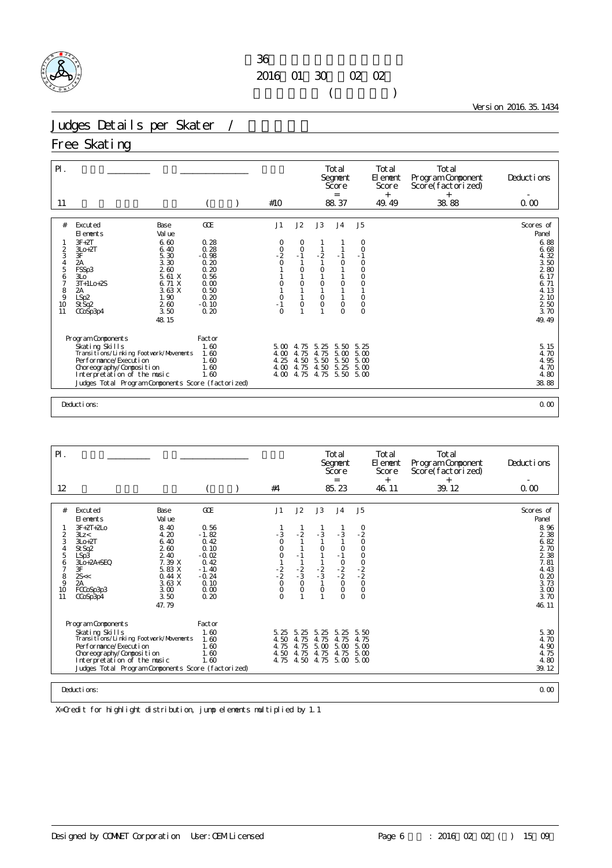

Version 2016.35.1434

### Judges Details per Skater /

### Free Skating

| $P$ .<br>-11                                                                                |                                                                                                                                                                                                                                                                 |                                                                                                   | #10                                                                    |                                                       |                                                  | Total<br>Segnent<br>Score<br>$=$<br>88.37                           |                                                                                                     | Total<br>El ement<br><b>Score</b><br>$^{+}$<br>49.49 | Total<br>Program Component<br>Score(factorized)<br>$^{+}$<br>38.88 | Deductions<br>0.00                                                                                                             |
|---------------------------------------------------------------------------------------------|-----------------------------------------------------------------------------------------------------------------------------------------------------------------------------------------------------------------------------------------------------------------|---------------------------------------------------------------------------------------------------|------------------------------------------------------------------------|-------------------------------------------------------|--------------------------------------------------|---------------------------------------------------------------------|-----------------------------------------------------------------------------------------------------|------------------------------------------------------|--------------------------------------------------------------------|--------------------------------------------------------------------------------------------------------------------------------|
|                                                                                             |                                                                                                                                                                                                                                                                 |                                                                                                   |                                                                        |                                                       |                                                  |                                                                     |                                                                                                     |                                                      |                                                                    |                                                                                                                                |
| #<br>$\frac{2}{3}$<br>$\begin{array}{c} 4 \\ 5 \end{array}$<br>6<br>7<br>8<br>9<br>10<br>11 | Excuted<br>Base<br>Val ue<br>El ements<br>$3F + 2T$<br>6.60<br>$3L0+2T$<br>6.40<br>3F<br>5.30<br>3.30<br>2A<br>260<br>FSSp3<br>5.61 X<br>3L <sub>O</sub><br>$3T+1Lo+2S$<br>6.71 X<br>3.63 X<br>2A<br>1.90<br>LSp2<br>260<br>St Sq2<br>3.50<br>CCoSp3p4<br>48.15 | GOE<br>0.28<br>0.28<br>$-0.98$<br>0.20<br>0.20<br>0.56<br>0.00<br>0.50<br>0.20<br>$-0.10$<br>0.20 | J1<br>0<br>$-2$<br>$-2$<br>0<br>$\circ$<br>$\circ$<br>$-1$<br>$\Omega$ | J2<br>0<br>$\circ$<br>$-1$<br>0<br>$\circ$<br>$\circ$ | J3<br>$-2$<br>0<br>$\circ$<br>$\circ$<br>$\circ$ | J <sub>4</sub><br>$-1$<br>$\circ$<br>$\circ$<br>$\circ$<br>$\Omega$ | J5<br>O<br>$\circ$<br>$-1$<br>$\circ$<br>$\circ$<br>$\circ$<br>$\circ$<br>$\circ$<br>$\overline{0}$ |                                                      |                                                                    | Scores of<br>Panel<br>6.88<br>6.68<br>4.32<br>3.50<br>280<br>6.17<br>6.71<br>4.13<br>2 10<br>$\frac{2}{3}$ 50<br>3.70<br>49.49 |
|                                                                                             | Program Components                                                                                                                                                                                                                                              | Factor                                                                                            |                                                                        |                                                       |                                                  |                                                                     |                                                                                                     |                                                      |                                                                    |                                                                                                                                |
|                                                                                             | Skating Skills<br>Transitions/Linking Footwork/Movements<br>Performance/Execution<br>Choreography/Composition<br>Interpretation of the music<br>Judges Total Program Components Score (factorized)                                                              | 1.60<br>1.60<br>1.60<br>1.60<br>1.60                                                              | $5\,\omega$<br>4.00<br>4.25<br>4.00<br>4.00                            | 4.75<br>4.75<br>4.50<br>4.75<br>4.75                  | 5.25<br>4.75<br>5.50<br>4.50<br>4.75             | 5.50<br>5.00<br>5.50<br>5.25<br>5.50                                | 5.25<br>5.00<br>5.00<br>5.00<br>5.00                                                                |                                                      |                                                                    | 5.15<br>4.70<br>4.95<br>4.70<br>4.80<br>38.88                                                                                  |
|                                                                                             | Deductions:                                                                                                                                                                                                                                                     |                                                                                                   |                                                                        |                                                       |                                                  |                                                                     |                                                                                                     |                                                      |                                                                    | 0.00                                                                                                                           |

| $PI$ .<br>12                                                       |                                                                                                                                                                                                                                                                   |                                                                                                         | #4                                                                        |                                                                                           |                                                                                                             | Total<br>Segnent<br>Score<br>$=$<br>85.23                                                                           |                                                                        | Total<br>El enent<br>Score<br>$+$<br>46.11 | Total<br>Program Component<br>Score (factorized)<br>$^{+}$<br>39.12 | Deductions<br>0.00                                                                                                    |
|--------------------------------------------------------------------|-------------------------------------------------------------------------------------------------------------------------------------------------------------------------------------------------------------------------------------------------------------------|---------------------------------------------------------------------------------------------------------|---------------------------------------------------------------------------|-------------------------------------------------------------------------------------------|-------------------------------------------------------------------------------------------------------------|---------------------------------------------------------------------------------------------------------------------|------------------------------------------------------------------------|--------------------------------------------|---------------------------------------------------------------------|-----------------------------------------------------------------------------------------------------------------------|
|                                                                    |                                                                                                                                                                                                                                                                   |                                                                                                         |                                                                           |                                                                                           |                                                                                                             |                                                                                                                     |                                                                        |                                            |                                                                     |                                                                                                                       |
| #<br>2<br>3<br>4<br>5<br>6<br>$\overline{7}$<br>8<br>9<br>10<br>11 | Base<br>Excuted<br>Val ue<br>El ements<br>$3F + 2T + 2I$ 0<br>8.40<br>4.20<br>3Lz <<br>6.40<br>$3L0+2T$<br>260<br>St Sq2<br>2.40<br>LSp3<br>7.39 X<br>3Lo+2A+SEQ<br>3F<br>5.83 X<br>2s<<br>0.44X<br>2A<br>3.63X<br>3.00<br>FCCoSp3p3<br>3.50<br>CCoSp3p4<br>47.79 | GOE<br>0.56<br>$-1.82$<br>0.42<br>0.10<br>$-0.02$<br>0.42<br>$-1.40$<br>$-0.24$<br>0.10<br>0.00<br>0.20 | J1<br>- 3<br>$\mathbf 0$<br>$\Omega$<br>$0$<br>$-2$<br>$-2$<br>$0$<br>$0$ | J2<br>$-2$<br>$\mathbf{1}$<br>$\mathbf{1}$<br>$-1$<br>$\frac{2}{3}$<br>$\circ$<br>$\circ$ | J3<br>$-3$<br>$\mathbf{1}$<br>$\circ$<br>1<br>$\mathbf{1}$<br>$\frac{2}{3}$<br>$\mathbf{1}$<br>$\circ$<br>1 | J <sub>4</sub><br>$-3$<br>$\mathbf{1}$<br>$\circ$<br>$-1$<br>$\frac{0}{2}$<br>- 2<br>$\circ$<br>$\circ$<br>$\Omega$ | J5<br>$-2$<br>$-2$<br>$0$<br>0<br>0<br>0<br>0<br>0<br>0<br>0<br>0<br>0 |                                            |                                                                     | Scores of<br>Panel<br>8.96<br>2 3 8<br>6.82<br>2 70<br>2 3 8<br>7.81<br>4.43<br>0.20<br>3.73<br>3.00<br>3.70<br>46.11 |
|                                                                    | Program Components                                                                                                                                                                                                                                                | Factor                                                                                                  |                                                                           |                                                                                           |                                                                                                             |                                                                                                                     |                                                                        |                                            |                                                                     |                                                                                                                       |
|                                                                    | Skating Skills<br>Transi ti ons/Li nki ng Footvork/Movements<br>Performance/Execution<br>Choreography/Composition<br>Interpretation of the music<br>Judges Total Program Components Score (factorized)                                                            | 1.60<br>1.60<br>1.60<br>1.60<br>1.60                                                                    | 5.25<br>4.50<br>4.75                                                      | 5.25<br>4.75<br>4.75<br>4.50 4.75                                                         | 5.25<br>4.75<br>5.00<br>4.75<br>4.75 4.50 4.75                                                              | 5.25<br>4.75<br>5.00<br>4.75<br>5.00                                                                                | 5.50<br>4.75<br>5.00<br>5.00<br>5.00                                   |                                            |                                                                     | 5.30<br>4.70<br>4.90<br>4.75<br>4.80<br>39.12                                                                         |
|                                                                    | Deductions:                                                                                                                                                                                                                                                       |                                                                                                         |                                                                           |                                                                                           |                                                                                                             |                                                                                                                     |                                                                        |                                            |                                                                     | 0.00                                                                                                                  |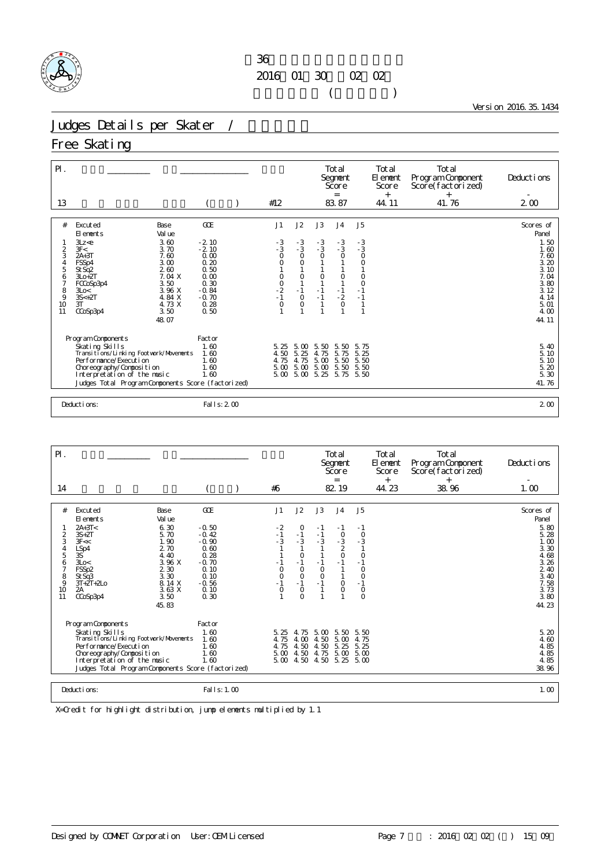

Version 2016.35.1434

# Judges Details per Skater /

### Free Skating

| $P$ .                                            |                                                                                                                                                                                                                                                               |                                                                                                         |                                                                |                                                                                                   |                                                          | Total<br>Segnent<br>Score<br>$=$                                                |                                                                                            | Total<br>El ement<br>Score<br>$+$ | Total<br>Program Component<br>Score(factorized)<br>$^{+}$ | Deductions<br>$\overline{\phantom{a}}$                                                                              |
|--------------------------------------------------|---------------------------------------------------------------------------------------------------------------------------------------------------------------------------------------------------------------------------------------------------------------|---------------------------------------------------------------------------------------------------------|----------------------------------------------------------------|---------------------------------------------------------------------------------------------------|----------------------------------------------------------|---------------------------------------------------------------------------------|--------------------------------------------------------------------------------------------|-----------------------------------|-----------------------------------------------------------|---------------------------------------------------------------------------------------------------------------------|
| 13                                               |                                                                                                                                                                                                                                                               |                                                                                                         | #12                                                            |                                                                                                   |                                                          | 83.87                                                                           |                                                                                            | 44.11                             | 41.76                                                     | 2 <sub>0</sub>                                                                                                      |
| #<br>2<br>3<br>4<br>5<br>6<br>8<br>9<br>10<br>11 | Excuted<br>Base<br>Val ue<br>El ements<br>3.60<br>3Lz < e<br>3F<<br>3.70<br>$2A+3T$<br>7.60<br>3.00<br>FSSp4<br>260<br>St Sq2<br>7.04 X<br>$3L0+2T$<br>3.50<br>FCCoSp3p4<br>3.96 X<br>3Lo<<br>$3S<+2T$<br>4.84 X<br>3T<br>4.73 X<br>3.50<br>CCoSp3p4<br>48.07 | GOE<br>$-2.10$<br>$-2.10$<br>0.00<br>0.20<br>0.50<br>0.00<br>0.30<br>$-0.84$<br>$-0.70$<br>0.28<br>0.50 | J1<br>$-3$<br>$-3$<br>O<br>0<br>$0$<br>$-2$<br>$-1$<br>$\circ$ | J2<br>$-3$<br>$-3$<br>$\circ$<br>$\circ$<br>$\circ$<br>$\mathbf{1}$<br>$-1$<br>$\circ$<br>$\circ$ | J3<br>$-3$<br>$-3$<br>$\circ$<br>$\circ$<br>$-1$<br>$-1$ | J <sub>4</sub><br>$-3$<br>$-3$<br>$\circ$<br>$\circ$<br>$-1$<br>$-2$<br>$\circ$ | J <sub>5</sub><br>$-3$<br>$-3$<br>$\circ$<br>$\circ$<br>$\circ$<br>$\circ$<br>$-1$<br>$-1$ |                                   |                                                           | Scores of<br>Panel<br>1.50<br>1.60<br>7.60<br>3.20<br>3.10<br>7.04<br>3.80<br>3.12<br>4.14<br>5.01<br>4.00<br>44.11 |
|                                                  | Program Components<br>Skating Skills<br>Transi ti ons/Li nki ng Footvork/Movements<br>Performance/Execution<br>Choreography/Composition<br>Interpretation of the music<br>Judges Total Program Components Score (factorized)                                  | Factor<br>1.60<br>1.60<br>1.60<br>1.60<br>1.60                                                          | 5.25<br>4.50<br>4.75<br>$5\,\omega$<br>$5.00\quad 5.00$        | 5.00<br>5.25<br>4.75<br>5.00                                                                      | 5.50<br>4.75<br>5.00<br>$\frac{5}{5}$ $\frac{00}{25}$    | 5.50<br>5.75<br>5.50<br>$\frac{5}{5}$ $\frac{50}{75}$                           | 5.75<br>5.25<br>5.50<br>5.50<br>5.50                                                       |                                   |                                                           | 5.40<br>5.10<br>5.10<br>$\frac{5}{5}$ $\frac{20}{30}$<br>41.76                                                      |
|                                                  | Deductions:                                                                                                                                                                                                                                                   | Fal I s: 2 00                                                                                           |                                                                |                                                                                                   |                                                          |                                                                                 |                                                                                            |                                   |                                                           | 2 <sub>0</sub>                                                                                                      |

| $\mathsf{P}$ .                                                                         |                                                                                                                                                                                                                                                            |                                                                                                            |                                                                             |                                                                                                                   |                                                                  | Total<br>Segnent<br>Score<br>$=$                                                             |                                                                                                                 | <b>Total</b><br>El ement<br>Score<br>$^{+}$ | Total<br>Program Component<br>Score (factorized)<br>$^{+}$ | Deductions                                                                                                              |
|----------------------------------------------------------------------------------------|------------------------------------------------------------------------------------------------------------------------------------------------------------------------------------------------------------------------------------------------------------|------------------------------------------------------------------------------------------------------------|-----------------------------------------------------------------------------|-------------------------------------------------------------------------------------------------------------------|------------------------------------------------------------------|----------------------------------------------------------------------------------------------|-----------------------------------------------------------------------------------------------------------------|---------------------------------------------|------------------------------------------------------------|-------------------------------------------------------------------------------------------------------------------------|
| 14                                                                                     |                                                                                                                                                                                                                                                            |                                                                                                            | #6                                                                          |                                                                                                                   |                                                                  | 82.19                                                                                        |                                                                                                                 | 44.23                                       | 38.96                                                      | 1.00                                                                                                                    |
| #<br>$\overline{c}$<br>3<br>$\frac{4}{5}$<br>6<br>$\overline{7}$<br>8<br>9<br>10<br>11 | Excuted<br>Base<br>Val ue<br>El ements<br>6.30<br>$2A+3T<$<br>5.70<br>$3S+2T$<br>1.90<br>3F <<<br>LSp4<br>2 70<br>3S<br>4.40<br>3.96 X<br>3Lo<<br>2 3 0<br>FSSp2<br>3.30<br>StSq3<br>8.14 X<br>$3T + 2T + 2LO$<br>3.63X<br>2A<br>3.50<br>CCoSp3p4<br>45.83 | GOE<br>$-0.50$<br>$-0.42$<br>$-0.90$<br>0.60<br>0.28<br>$-0.70$<br>0.10<br>0.10<br>$-0.56$<br>0.10<br>0.30 | J1<br>$-2$<br>$-1$<br>$-3$<br>$-1$<br>$\circ$<br>$\circ$<br>$-1$<br>$\circ$ | J2<br>0<br>$-1$<br>$-3$<br>$\overline{1}$<br>$\circ$<br>$-1$<br>$\circ$<br>$\circ$<br>$-1$<br>$\circ$<br>$\Omega$ | J3<br>$-1$<br>$-1$<br>$-3$<br>$-1$<br>$\circ$<br>$\circ$<br>$-1$ | J <sub>4</sub><br>$-1$<br>$\circ$<br>$-\frac{3}{2}$<br>$\circ$<br>$-1$<br>$\circ$<br>$\circ$ | J5<br>$-1$<br>$\circ$<br>$-3$<br>1<br>$\overline{0}$<br>- 1<br>$\circ$<br>$\circ$<br>$-1$<br>$\circ$<br>$\circ$ |                                             |                                                            | Scores of<br>Panel<br>5.80<br>5.28<br>1.00<br>3.30<br>4.68<br>3.26<br>2.40<br>3.40<br>7.58<br>$3.73$<br>$3.80$<br>44.23 |
|                                                                                        | Program Components<br>Skating Skills<br>Transi ti ons/Li nki ng Footvork/Movements<br>Performance/Execution<br>Choreography/Composition<br>Interpretation of the music<br>Judges Total Program Components Score (factorized)                               | Factor<br>1.60<br>1.60<br>1.60<br>1.60<br>1.60                                                             | 5.25<br>4.75<br>4.75<br>5.00                                                | 4.75<br>4.00<br>4.50<br>4.50<br>5,004,50                                                                          | 5.00<br>4.50<br>4.50<br>4.75<br>4.50 5.25                        | 5.50<br>5.00<br>5.25<br>5.00                                                                 | 5.50<br>4.75<br>5.25<br>5.00<br>5.00                                                                            |                                             |                                                            | 5.20<br>4.60<br>4.85<br>$\frac{4}{4}$ . 85<br>4. 85<br>38.96                                                            |
|                                                                                        | Deductions:                                                                                                                                                                                                                                                | Fal   s: 1.00                                                                                              |                                                                             |                                                                                                                   |                                                                  |                                                                                              |                                                                                                                 |                                             |                                                            | 1.00                                                                                                                    |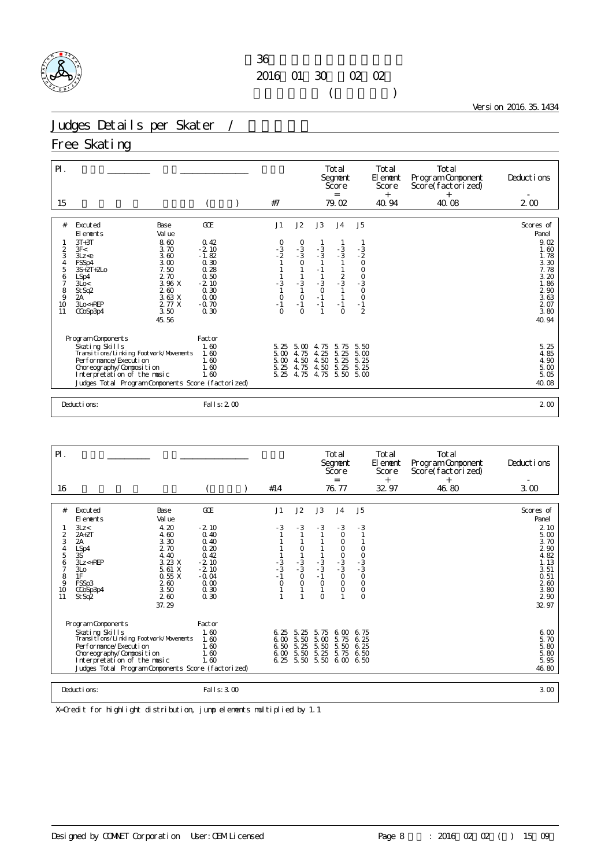

Version 2016.35.1434

## Judges Details per Skater /

### Free Skating

| $\mathsf{P}$ .                                                                                                                                                                                                                                                                                                                    |                                                                                                             |                                                                                                                                                                                                                                      | Total<br>Segnent<br>Score<br>$=$                                                                                                            | Total<br>El ement<br>Score<br>$^{+}$                                                       | Total<br>Program Component<br>Score(factorized)<br>$^{+}$ | Deductions                                                                                                                                                             |
|-----------------------------------------------------------------------------------------------------------------------------------------------------------------------------------------------------------------------------------------------------------------------------------------------------------------------------------|-------------------------------------------------------------------------------------------------------------|--------------------------------------------------------------------------------------------------------------------------------------------------------------------------------------------------------------------------------------|---------------------------------------------------------------------------------------------------------------------------------------------|--------------------------------------------------------------------------------------------|-----------------------------------------------------------|------------------------------------------------------------------------------------------------------------------------------------------------------------------------|
| 15                                                                                                                                                                                                                                                                                                                                |                                                                                                             | #7                                                                                                                                                                                                                                   | 79.02                                                                                                                                       | 40.94                                                                                      | 40.08                                                     | 2 <sub>0</sub>                                                                                                                                                         |
| #<br>Excuted<br>Base<br>Val ue<br>El ements<br>$3T+3T$<br>8.60<br>3F<<br>3.70<br>2<br>3<br>3.60<br>3Lz < e<br>FSSp4<br>3.00<br>4<br>5<br>7.50<br>$3S + 2T + 2LO$<br>2.70<br>6<br>LSp4<br>3.96 X<br>7<br>3Lo<<br>$\frac{8}{9}$<br>260<br>St Sq2<br>3.63 X<br>2A<br>2.77 X<br>10<br>$3Lo < +REP$<br>3.50<br>11<br>CCoSp3p4<br>45.56 | GOE<br>0.42<br>$-2.10$<br>$-1.82$<br>$0.30$<br>$0.28$<br>0.50<br>$-2.10$<br>0.30<br>0.00<br>$-0.70$<br>0.30 | J2<br>J1<br>$\begin{matrix}0\\ -3\\ 3\end{matrix}$<br>$\begin{array}{c} 0 \\ -3 \\ 2 \end{array}$<br>$\circ$<br>$-3$<br>$-3$<br>$\mathbf{1}$<br>$\begin{smallmatrix}0\\1\end{smallmatrix}$<br>$\circ$<br>$-1$<br>$\Omega$<br>$\circ$ | J3<br>J <sub>4</sub><br>$-3$<br>$-3$<br>$-3$<br>$-3$<br>$-1$<br>$\frac{2}{3}$<br>$-3$<br>$\circ$<br>$-1$<br>$\mathbf{1}$<br>$-1$<br>$\circ$ | J <sub>5</sub><br>$-3$<br>$-2$<br>0<br>$000$<br>$-30$<br>$\circ$<br>$-1$<br>$\overline{2}$ |                                                           | Scores of<br>Panel<br>9.02<br>1.60<br>1.78<br>$\frac{3}{7}$ $\frac{30}{78}$<br>3.20<br>1.86<br>$\frac{2}{3}$ $\frac{90}{63}$<br>$\frac{2}{3}$ $\frac{07}{80}$<br>40.94 |
| Program Components<br>Skating Skills<br>Transi ti ons/Li nki ng Footvork/Movements<br>Performance/Execution<br>Choreography/Composition<br>Interpretation of the music<br>Judges Total Program Components Score (factorized)                                                                                                      | Factor<br>1.60<br>1.60<br>1.60<br>1.60<br>1.60                                                              | 5.00<br>5.25<br>5.00<br>4.75<br>4.50<br>5.00<br>5.25<br>4.75<br>5.25<br>4.75                                                                                                                                                         | 4.75<br>5.75<br>5.25<br>4.25<br>4.50<br>5.25<br>4.50<br>5.25<br>4.75<br>5.50                                                                | 5.50<br>5.00<br>5.25<br>5.25<br>5.00                                                       |                                                           | 5.25<br>4.85<br>4.90<br>$\begin{array}{c} 5.00 \\ 5.05 \end{array}$<br>40.08                                                                                           |
| Deductions:                                                                                                                                                                                                                                                                                                                       | Fal I s: 2 00                                                                                               |                                                                                                                                                                                                                                      |                                                                                                                                             |                                                                                            |                                                           | 2 <sub>0</sub>                                                                                                                                                         |

| $P$ .                                                                                                                                                         |                                                                                                                                                                                                                              |                                                                                                         | #14                                                  |                                                                  |                                                                                         | Total<br>Segnent<br>Score<br>$=$<br>76.77                                                                          |                                                                            | Total<br>El ement<br>Score<br>$+$ | Total<br>Program Component<br>Score(factorized)<br>$+$ | Deductions                                                                                                         |
|---------------------------------------------------------------------------------------------------------------------------------------------------------------|------------------------------------------------------------------------------------------------------------------------------------------------------------------------------------------------------------------------------|---------------------------------------------------------------------------------------------------------|------------------------------------------------------|------------------------------------------------------------------|-----------------------------------------------------------------------------------------|--------------------------------------------------------------------------------------------------------------------|----------------------------------------------------------------------------|-----------------------------------|--------------------------------------------------------|--------------------------------------------------------------------------------------------------------------------|
| 16                                                                                                                                                            |                                                                                                                                                                                                                              |                                                                                                         |                                                      |                                                                  |                                                                                         |                                                                                                                    |                                                                            | 32.97                             | 46.80                                                  | 3.00                                                                                                               |
| #<br>3Lz <<br>$\overline{c}$<br>$2A+2T$<br>3<br>2A<br>$\overline{4}$<br>LSp4<br>3S<br>5<br>6<br>$\overline{7}$<br>3L <sub>O</sub><br>1F<br>8<br>9<br>10<br>11 | Excuted<br>Base<br>Val ue<br>El ements<br>4.20<br>4.60<br>3.30<br>2.70<br>4.40<br>3.23 X<br>$3Lz < +REP$<br>5.61 X<br>0.55X<br>FSSp3<br>260<br>3.50<br>CCoSp3p4<br>2.60<br>St Sq2<br>37.29                                   | GOE<br>$-2.10$<br>0.40<br>0.40<br>0.20<br>0.42<br>$-2.10$<br>$-2.10$<br>$-0.04$<br>0.00<br>0.30<br>0.30 | J1<br>$-3$<br>$-3$<br>$-3$<br>$-1$<br>$\overline{O}$ | J2<br>$-3$<br>1<br>$\circ$<br>$-3$<br>$-3$<br>$\circ$<br>$\circ$ | J3<br>$-3$<br>1<br>1<br>$\mathbf{1}$<br>$-3$<br>$-3$<br>$-1$<br>$\circ$<br>1<br>$\circ$ | J <sub>4</sub><br>$-3$<br>$\circ$<br>0<br>$\circ$<br>$\frac{0}{3}$<br>- 3<br>$\mathsf O$<br>$\mathsf O$<br>$\circ$ | J <sub>5</sub><br>$-3$<br>0<br>0<br>0<br>0<br>0<br>0<br>$\circ$<br>$\circ$ |                                   |                                                        | Scores of<br>Panel<br>2 10<br>5.00<br>3.70<br>2 90<br>4.82<br>1.13<br>3.51<br>0.51<br>260<br>3.80<br>2 90<br>32 97 |
|                                                                                                                                                               | Program Components<br>Skating Skills<br>Transi ti ons/Li nki ng Footvork/Movements<br>Performance/Execution<br>Choreography/Composition<br>Interpretation of the music<br>Judges Total Program Components Score (factorized) | Factor<br>1.60<br>1.60<br>1.60<br>1.60<br>1.60                                                          | 6.25<br>6.00<br>6.50                                 | 5.25<br>5.50<br>5.25<br>$600\,550$                               | 5.75<br>5.00<br>5.50<br>5.25<br>6.25 5.50 5.50 6.00                                     | 6.00<br>5.75<br>5.50<br>5.75                                                                                       | 6.75<br>6.25<br>6.25<br>6.50<br>6.50                                       |                                   |                                                        | 6.00<br>5.70<br>5.80<br>5.80<br>5.95<br>46.80                                                                      |
| Deductions:                                                                                                                                                   |                                                                                                                                                                                                                              | Fal I s: 3, 00                                                                                          |                                                      |                                                                  |                                                                                         |                                                                                                                    |                                                                            |                                   |                                                        | 3.00                                                                                                               |